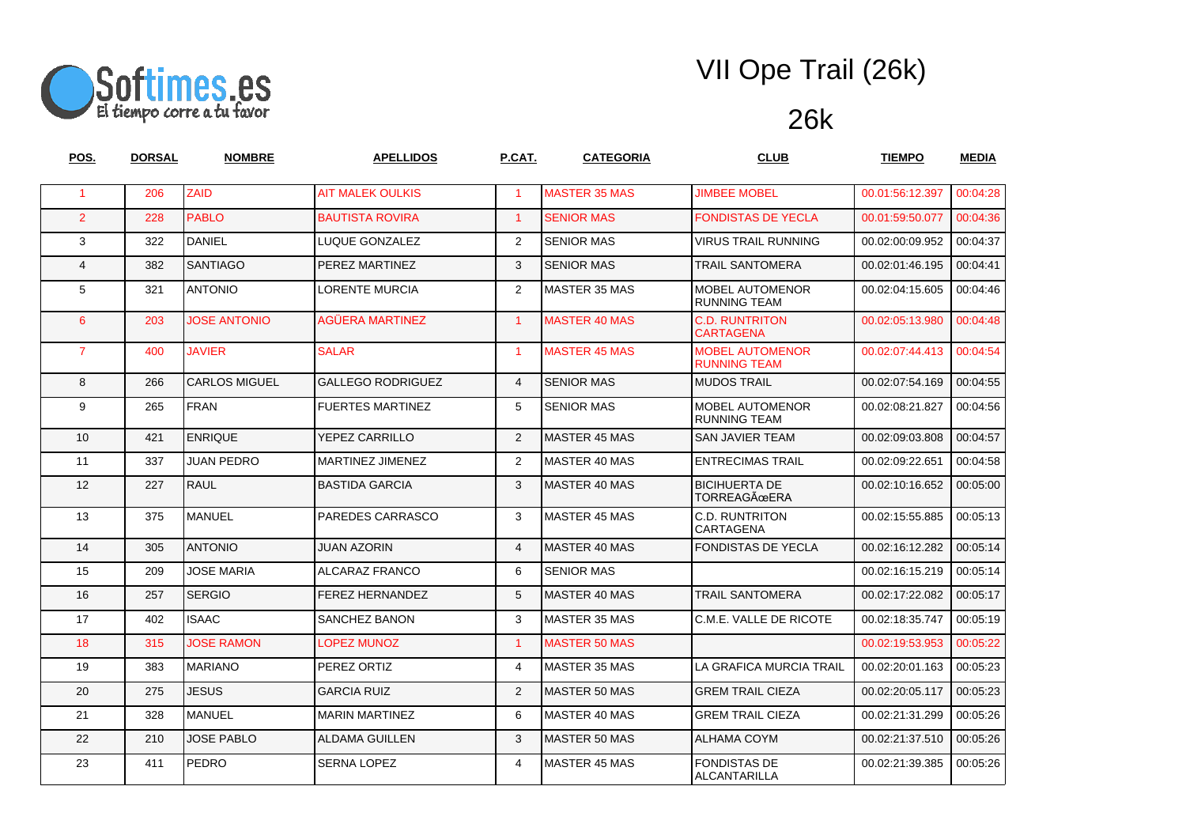

| POS.                 | <b>DORSAL</b> | <b>NOMBRE</b>        | <b>APELLIDOS</b>         | P.CAT.               | <b>CATEGORIA</b>     | <b>CLUB</b>                                   | <b>TIEMPO</b>   | <b>MEDIA</b> |
|----------------------|---------------|----------------------|--------------------------|----------------------|----------------------|-----------------------------------------------|-----------------|--------------|
| $\blacktriangleleft$ | 206           | ZAID                 | <b>AIT MALEK OULKIS</b>  | $\blacktriangleleft$ | <b>MASTER 35 MAS</b> | <b>JIMBEE MOBEL</b>                           | 00.01:56:12.397 | 00:04:28     |
| $\overline{2}$       | 228           | <b>PABLO</b>         | <b>BAUTISTA ROVIRA</b>   | $\mathbf{1}$         | <b>SENIOR MAS</b>    | <b>FONDISTAS DE YECLA</b>                     | 00.01:59:50.077 | 00:04:36     |
| 3                    | 322           | <b>DANIEL</b>        | LUQUE GONZALEZ           | 2                    | <b>SENIOR MAS</b>    | <b>VIRUS TRAIL RUNNING</b>                    | 00.02:00:09.952 | 00:04:37     |
| $\overline{4}$       | 382           | <b>SANTIAGO</b>      | PEREZ MARTINEZ           | 3                    | <b>SENIOR MAS</b>    | <b>TRAIL SANTOMERA</b>                        | 00.02:01:46.195 | 00:04:41     |
| 5                    | 321           | <b>ANTONIO</b>       | <b>LORENTE MURCIA</b>    | $\overline{2}$       | <b>MASTER 35 MAS</b> | <b>MOBEL AUTOMENOR</b><br><b>RUNNING TEAM</b> | 00.02:04:15.605 | 00:04:46     |
| $6^{\circ}$          | 203           | <b>JOSE ANTONIO</b>  | <b>AGÜERA MARTINEZ</b>   | $\blacktriangleleft$ | <b>MASTER 40 MAS</b> | <b>C.D. RUNTRITON</b><br><b>CARTAGENA</b>     | 00.02:05:13.980 | 00:04:48     |
| $\overline{7}$       | 400           | <b>JAVIER</b>        | <b>SALAR</b>             | $\blacktriangleleft$ | <b>MASTER 45 MAS</b> | <b>MOBEL AUTOMENOR</b><br><b>RUNNING TEAM</b> | 00.02:07:44.413 | 00:04:54     |
| 8                    | 266           | <b>CARLOS MIGUEL</b> | <b>GALLEGO RODRIGUEZ</b> | $\overline{4}$       | <b>SENIOR MAS</b>    | <b>MUDOS TRAIL</b>                            | 00.02:07:54.169 | 00:04:55     |
| 9                    | 265           | <b>FRAN</b>          | <b>FUERTES MARTINEZ</b>  | 5                    | <b>SENIOR MAS</b>    | <b>MOBEL AUTOMENOR</b><br><b>RUNNING TEAM</b> | 00.02:08:21.827 | 00:04:56     |
| 10                   | 421           | <b>ENRIQUE</b>       | YEPEZ CARRILLO           | 2                    | <b>MASTER 45 MAS</b> | <b>SAN JAVIER TEAM</b>                        | 00.02:09:03.808 | 00:04:57     |
| 11                   | 337           | <b>JUAN PEDRO</b>    | MARTINEZ JIMENEZ         | 2                    | <b>MASTER 40 MAS</b> | <b>ENTRECIMAS TRAIL</b>                       | 00.02:09:22.651 | 00:04:58     |
| 12                   | 227           | RAUL                 | <b>BASTIDA GARCIA</b>    | 3                    | MASTER 40 MAS        | <b>BICIHUERTA DE</b><br><b>TORREAGÜERA</b>    | 00.02:10:16.652 | 00:05:00     |
| 13                   | 375           | MANUEL               | PAREDES CARRASCO         | 3                    | MASTER 45 MAS        | <b>C.D. RUNTRITON</b><br>CARTAGENA            | 00.02:15:55.885 | 00:05:13     |
| 14                   | 305           | <b>ANTONIO</b>       | <b>JUAN AZORIN</b>       | $\overline{4}$       | MASTER 40 MAS        | <b>FONDISTAS DE YECLA</b>                     | 00.02:16:12.282 | 00:05:14     |
| 15                   | 209           | <b>JOSE MARIA</b>    | ALCARAZ FRANCO           | 6                    | <b>SENIOR MAS</b>    |                                               | 00.02:16:15.219 | 00:05:14     |
| 16                   | 257           | <b>SERGIO</b>        | FEREZ HERNANDEZ          | 5                    | MASTER 40 MAS        | <b>TRAIL SANTOMERA</b>                        | 00.02:17:22.082 | 00:05:17     |
| 17                   | 402           | <b>ISAAC</b>         | <b>SANCHEZ BANON</b>     | 3                    | <b>MASTER 35 MAS</b> | C.M.E. VALLE DE RICOTE                        | 00.02:18:35.747 | 00:05:19     |
| 18                   | 315           | <b>JOSE RAMON</b>    | LOPEZ MUNOZ              | $\blacktriangleleft$ | <b>MASTER 50 MAS</b> |                                               | 00.02:19:53.953 | 00:05:22     |
| 19                   | 383           | <b>MARIANO</b>       | PEREZ ORTIZ              | 4                    | <b>MASTER 35 MAS</b> | LA GRAFICA MURCIA TRAIL                       | 00.02:20:01.163 | 00:05:23     |
| 20                   | 275           | <b>JESUS</b>         | <b>GARCIA RUIZ</b>       | 2                    | MASTER 50 MAS        | <b>GREM TRAIL CIEZA</b>                       | 00.02:20:05.117 | 00:05:23     |
| 21                   | 328           | MANUEL               | <b>MARIN MARTINEZ</b>    | 6                    | MASTER 40 MAS        | <b>GREM TRAIL CIEZA</b>                       | 00.02:21:31.299 | 00:05:26     |
| 22                   | 210           | <b>JOSE PABLO</b>    | <b>ALDAMA GUILLEN</b>    | 3                    | <b>MASTER 50 MAS</b> | ALHAMA COYM                                   | 00.02:21:37.510 | 00:05:26     |
| 23                   | 411           | <b>PEDRO</b>         | SERNA LOPEZ              | $\overline{4}$       | <b>MASTER 45 MAS</b> | <b>FONDISTAS DE</b><br><b>ALCANTARILLA</b>    | 00.02:21:39.385 | 00:05:26     |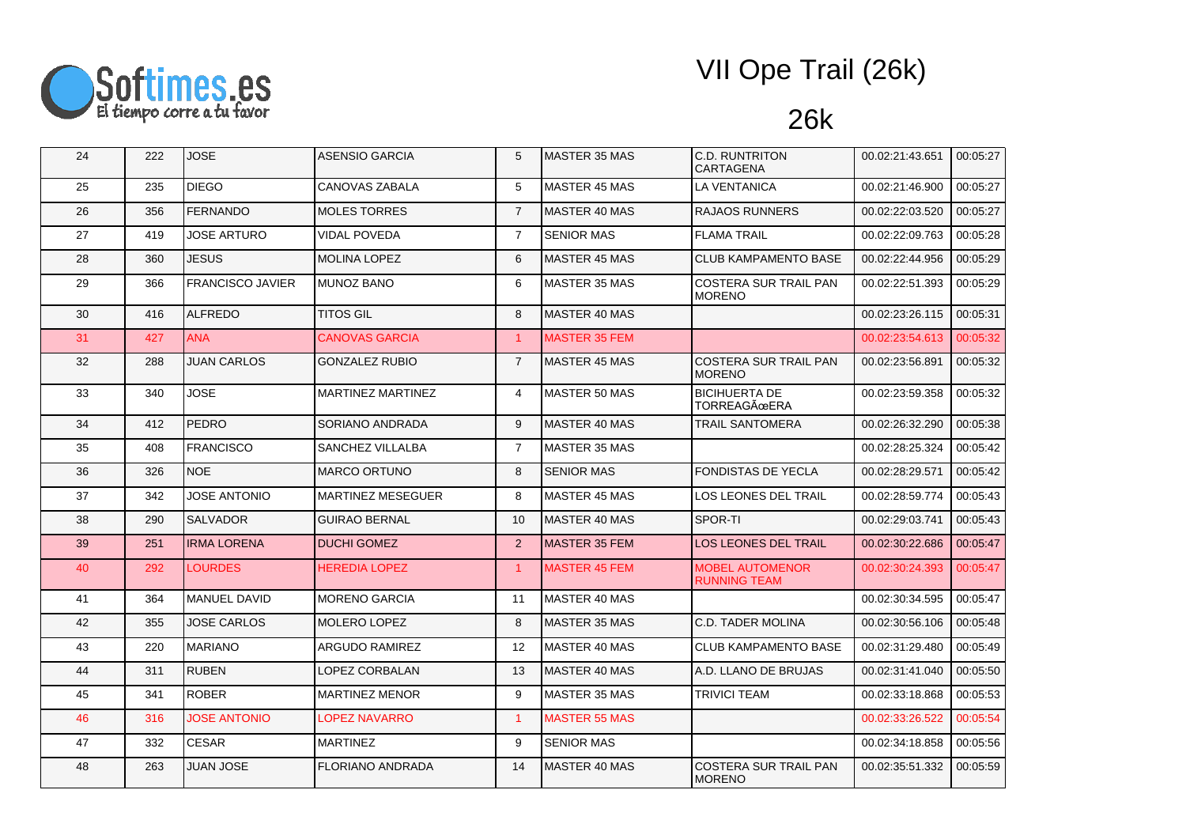

| 24 | 222 | <b>JOSE</b>             | <b>ASENSIO GARCIA</b>    | 5                    | MASTER 35 MAS        | <b>C.D. RUNTRITON</b><br><b>CARTAGENA</b>     | 00.02:21:43.651 | 00:05:27 |
|----|-----|-------------------------|--------------------------|----------------------|----------------------|-----------------------------------------------|-----------------|----------|
| 25 | 235 | <b>DIEGO</b>            | CANOVAS ZABALA           | 5                    | <b>MASTER 45 MAS</b> | <b>LA VENTANICA</b>                           | 00.02:21:46.900 | 00:05:27 |
| 26 | 356 | <b>FERNANDO</b>         | <b>MOLES TORRES</b>      | $\overline{7}$       | <b>MASTER 40 MAS</b> | <b>RAJAOS RUNNERS</b>                         | 00.02:22:03.520 | 00:05:27 |
| 27 | 419 | JOSE ARTURO             | <b>VIDAL POVEDA</b>      | $\overline{7}$       | <b>SENIOR MAS</b>    | <b>FLAMA TRAIL</b>                            | 00.02:22:09.763 | 00:05:28 |
| 28 | 360 | JESUS                   | <b>MOLINA LOPEZ</b>      | 6                    | <b>MASTER 45 MAS</b> | <b>CLUB KAMPAMENTO BASE</b>                   | 00.02:22:44.956 | 00:05:29 |
| 29 | 366 | <b>FRANCISCO JAVIER</b> | <b>MUNOZ BANO</b>        | 6                    | <b>MASTER 35 MAS</b> | <b>COSTERA SUR TRAIL PAN</b><br><b>MORENO</b> | 00.02:22:51.393 | 00:05:29 |
| 30 | 416 | ALFREDO                 | <b>TITOS GIL</b>         | 8                    | MASTER 40 MAS        |                                               | 00.02:23:26.115 | 00:05:31 |
| 31 | 427 | <b>ANA</b>              | <b>CANOVAS GARCIA</b>    | $\overline{1}$       | <b>MASTER 35 FEM</b> |                                               | 00.02:23:54.613 | 00:05:32 |
| 32 | 288 | <b>JUAN CARLOS</b>      | <b>GONZALEZ RUBIO</b>    | $\overline{7}$       | <b>MASTER 45 MAS</b> | <b>COSTERA SUR TRAIL PAN</b><br><b>MORENO</b> | 00.02:23:56.891 | 00:05:32 |
| 33 | 340 | <b>JOSE</b>             | MARTINEZ MARTINEZ        | $\overline{4}$       | MASTER 50 MAS        | <b>BICIHUERTA DE</b><br><b>TORREAGÜERA</b>    | 00.02:23:59.358 | 00:05:32 |
| 34 | 412 | <b>PEDRO</b>            | SORIANO ANDRADA          | 9                    | <b>MASTER 40 MAS</b> | <b>TRAIL SANTOMERA</b>                        | 00.02:26:32.290 | 00:05:38 |
| 35 | 408 | <b>FRANCISCO</b>        | SANCHEZ VILLALBA         | $\overline{7}$       | <b>MASTER 35 MAS</b> |                                               | 00.02:28:25.324 | 00:05:42 |
| 36 | 326 | NOE.                    | <b>MARCO ORTUNO</b>      | 8                    | <b>SENIOR MAS</b>    | <b>FONDISTAS DE YECLA</b>                     | 00.02:28:29.571 | 00:05:42 |
| 37 | 342 | JOSE ANTONIO            | <b>MARTINEZ MESEGUER</b> | 8                    | <b>MASTER 45 MAS</b> | LOS LEONES DEL TRAIL                          | 00.02:28:59.774 | 00:05:43 |
| 38 | 290 | <b>SALVADOR</b>         | <b>GUIRAO BERNAL</b>     | 10                   | MASTER 40 MAS        | SPOR-TI                                       | 00.02:29:03.741 | 00:05:43 |
| 39 | 251 | <b>IRMA LORENA</b>      | <b>DUCHI GOMEZ</b>       | 2                    | <b>MASTER 35 FEM</b> | <b>LOS LEONES DEL TRAIL</b>                   | 00.02:30:22.686 | 00:05:47 |
| 40 | 292 | <b>LOURDES</b>          | <b>HEREDIA LOPEZ</b>     | $\blacktriangleleft$ | <b>MASTER 45 FEM</b> | <b>MOBEL AUTOMENOR</b><br><b>RUNNING TEAM</b> | 00.02:30:24.393 | 00:05:47 |
| 41 | 364 | <b>MANUEL DAVID</b>     | <b>MORENO GARCIA</b>     | 11                   | MASTER 40 MAS        |                                               | 00.02:30:34.595 | 00:05:47 |
| 42 | 355 | <b>JOSE CARLOS</b>      | MOLERO LOPEZ             | 8                    | <b>MASTER 35 MAS</b> | C.D. TADER MOLINA                             | 00.02:30:56.106 | 00:05:48 |
| 43 | 220 | <b>MARIANO</b>          | ARGUDO RAMIREZ           | 12                   | <b>MASTER 40 MAS</b> | <b>CLUB KAMPAMENTO BASE</b>                   | 00.02:31:29.480 | 00:05:49 |
| 44 | 311 | <b>RUBEN</b>            | LOPEZ CORBALAN           | 13                   | MASTER 40 MAS        | A.D. LLANO DE BRUJAS                          | 00.02:31:41.040 | 00:05:50 |
| 45 | 341 | <b>ROBER</b>            | <b>MARTINEZ MENOR</b>    | 9                    | <b>MASTER 35 MAS</b> | <b>TRIVICI TEAM</b>                           | 00.02:33:18.868 | 00:05:53 |
| 46 | 316 | <b>JOSE ANTONIO</b>     | LOPEZ NAVARRO            | $\overline{1}$       | <b>MASTER 55 MAS</b> |                                               | 00.02:33:26.522 | 00:05:54 |
| 47 | 332 | <b>CESAR</b>            | MARTINEZ                 | 9                    | <b>SENIOR MAS</b>    |                                               | 00.02:34:18.858 | 00:05:56 |
| 48 | 263 | <b>JUAN JOSE</b>        | FLORIANO ANDRADA         | 14                   | MASTER 40 MAS        | <b>COSTERA SUR TRAIL PAN</b><br><b>MORENO</b> | 00.02:35:51.332 | 00:05:59 |
|    |     |                         |                          |                      |                      |                                               |                 |          |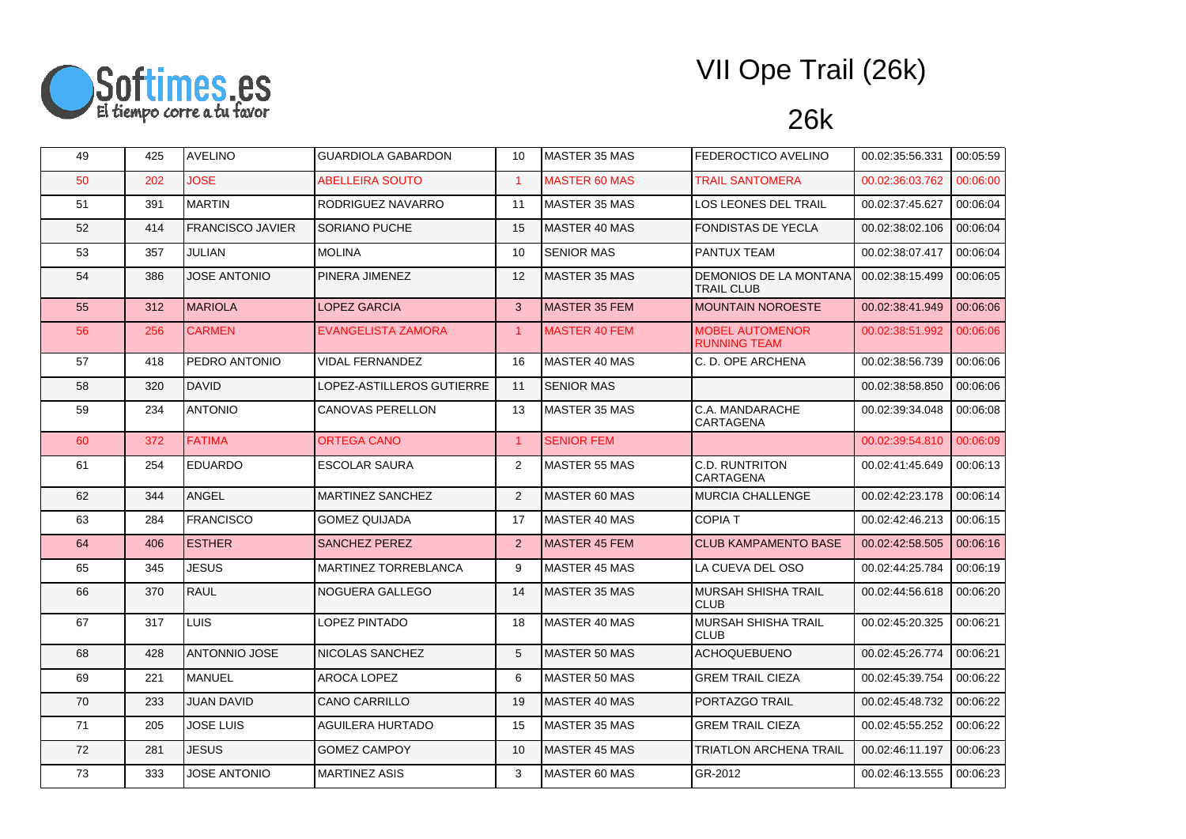

| 49 | 425 | <b>AVELINO</b>          | <b>GUARDIOLA GABARDON</b> | 10                   | MASTER 35 MAS        | FEDEROCTICO AVELINO                           | 00.02:35:56.331 | 00:05:59 |
|----|-----|-------------------------|---------------------------|----------------------|----------------------|-----------------------------------------------|-----------------|----------|
| 50 | 202 | <b>JOSE</b>             | <b>ABELLEIRA SOUTO</b>    | $\blacktriangleleft$ | <b>MASTER 60 MAS</b> | <b>TRAIL SANTOMERA</b>                        | 00.02:36:03.762 | 00:06:00 |
| 51 | 391 | <b>MARTIN</b>           | RODRIGUEZ NAVARRO         | 11                   | MASTER 35 MAS        | LOS LEONES DEL TRAIL                          | 00.02:37:45.627 | 00:06:04 |
| 52 | 414 | <b>FRANCISCO JAVIER</b> | SORIANO PUCHE             | 15                   | MASTER 40 MAS        | <b>FONDISTAS DE YECLA</b>                     | 00.02:38:02.106 | 00:06:04 |
| 53 | 357 | JULIAN                  | <b>MOLINA</b>             | 10                   | <b>SENIOR MAS</b>    | PANTUX TEAM                                   | 00.02:38:07.417 | 00:06:04 |
| 54 | 386 | <b>JOSE ANTONIO</b>     | PINERA JIMENEZ            | 12                   | <b>MASTER 35 MAS</b> | DEMONIOS DE LA MONTANA<br><b>TRAIL CLUB</b>   | 00.02:38:15.499 | 00:06:05 |
| 55 | 312 | <b>MARIOLA</b>          | <b>LOPEZ GARCIA</b>       | 3                    | MASTER 35 FEM        | <b>MOUNTAIN NOROESTE</b>                      | 00.02:38:41.949 | 00:06:06 |
| 56 | 256 | <b>CARMEN</b>           | EVANGELISTA ZAMORA        | $\overline{1}$       | <b>MASTER 40 FEM</b> | <b>MOBEL AUTOMENOR</b><br><b>RUNNING TEAM</b> | 00.02:38:51.992 | 00:06:06 |
| 57 | 418 | PEDRO ANTONIO           | <b>VIDAL FERNANDEZ</b>    | 16                   | MASTER 40 MAS        | C. D. OPE ARCHENA                             | 00.02:38:56.739 | 00:06:06 |
| 58 | 320 | DAVID                   | LOPEZ-ASTILLEROS GUTIERRE | 11                   | <b>SENIOR MAS</b>    |                                               | 00.02:38:58.850 | 00:06:06 |
| 59 | 234 | <b>ANTONIO</b>          | <b>CANOVAS PERELLON</b>   | 13                   | <b>MASTER 35 MAS</b> | C.A. MANDARACHE<br>CARTAGENA                  | 00.02:39:34.048 | 00:06:08 |
| 60 | 372 | <b>FATIMA</b>           | ORTEGA CANO               | $\overline{1}$       | <b>SENIOR FEM</b>    |                                               | 00.02:39:54.810 | 00:06:09 |
| 61 | 254 | <b>EDUARDO</b>          | <b>ESCOLAR SAURA</b>      | 2                    | <b>MASTER 55 MAS</b> | <b>C.D. RUNTRITON</b><br><b>CARTAGENA</b>     | 00.02:41:45.649 | 00:06:13 |
| 62 | 344 | ANGEL                   | <b>MARTINEZ SANCHEZ</b>   | 2                    | MASTER 60 MAS        | <b>MURCIA CHALLENGE</b>                       | 00.02:42:23.178 | 00:06:14 |
| 63 | 284 | <b>FRANCISCO</b>        | <b>GOMEZ QUIJADA</b>      | 17                   | MASTER 40 MAS        | <b>COPIA T</b>                                | 00.02:42:46.213 | 00:06:15 |
| 64 | 406 | <b>ESTHER</b>           | SANCHEZ PEREZ             | 2                    | <b>MASTER 45 FEM</b> | <b>CLUB KAMPAMENTO BASE</b>                   | 00.02:42:58.505 | 00:06:16 |
| 65 | 345 | <b>JESUS</b>            | MARTINEZ TORREBLANCA      | 9                    | MASTER 45 MAS        | LA CUEVA DEL OSO                              | 00.02:44:25.784 | 00:06:19 |
| 66 | 370 | RAUL                    | NOGUERA GALLEGO           | 14                   | <b>MASTER 35 MAS</b> | MURSAH SHISHA TRAIL<br><b>CLUB</b>            | 00.02:44:56.618 | 00:06:20 |
| 67 | 317 | LUIS                    | LOPEZ PINTADO             | 18                   | MASTER 40 MAS        | MURSAH SHISHA TRAIL<br><b>CLUB</b>            | 00.02:45:20.325 | 00:06:21 |
| 68 | 428 | <b>ANTONNIO JOSE</b>    | NICOLAS SANCHEZ           | 5                    | MASTER 50 MAS        | ACHOQUEBUENO                                  | 00.02:45:26.774 | 00:06:21 |
| 69 | 221 | MANUEL                  | AROCA LOPEZ               | 6                    | <b>MASTER 50 MAS</b> | <b>GREM TRAIL CIEZA</b>                       | 00.02:45:39.754 | 00:06:22 |
| 70 | 233 | <b>JUAN DAVID</b>       | <b>CANO CARRILLO</b>      | 19                   | MASTER 40 MAS        | PORTAZGO TRAIL                                | 00.02:45:48.732 | 00:06:22 |
| 71 | 205 | <b>JOSE LUIS</b>        | AGUILERA HURTADO          | 15                   | <b>MASTER 35 MAS</b> | <b>GREM TRAIL CIEZA</b>                       | 00.02:45:55.252 | 00:06:22 |
| 72 | 281 | <b>JESUS</b>            | <b>GOMEZ CAMPOY</b>       | 10                   | <b>MASTER 45 MAS</b> | <b>TRIATLON ARCHENA TRAIL</b>                 | 00.02:46:11.197 | 00:06:23 |
| 73 | 333 | <b>JOSE ANTONIO</b>     | <b>MARTINEZ ASIS</b>      | 3                    | MASTER 60 MAS        | GR-2012                                       | 00.02:46:13.555 | 00:06:23 |
|    |     |                         |                           |                      |                      |                                               |                 |          |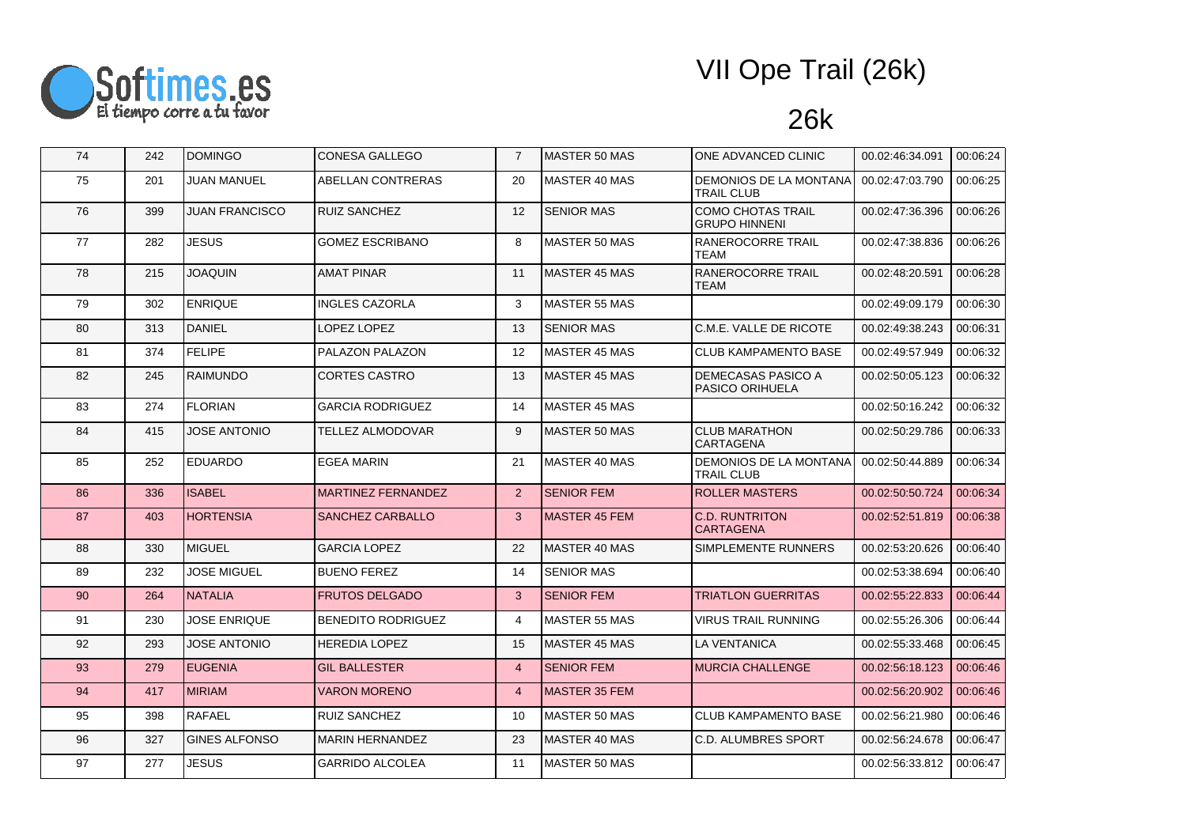

| 74 | 242 | <b>DOMINGO</b>        | <b>CONESA GALLEGO</b>     | $\overline{7}$ | <b>MASTER 50 MAS</b> | ONE ADVANCED CLINIC                                 | 00.02:46:34.091 | 00:06:24 |
|----|-----|-----------------------|---------------------------|----------------|----------------------|-----------------------------------------------------|-----------------|----------|
| 75 | 201 | <b>JUAN MANUEL</b>    | ABELLAN CONTRERAS         | 20             | <b>MASTER 40 MAS</b> | DEMONIOS DE LA MONTANA<br><b>TRAIL CLUB</b>         | 00.02:47:03.790 | 00:06:25 |
| 76 | 399 | <b>JUAN FRANCISCO</b> | <b>RUIZ SANCHEZ</b>       | 12             | <b>SENIOR MAS</b>    | <b>COMO CHOTAS TRAIL</b><br><b>GRUPO HINNENI</b>    | 00.02:47:36.396 | 00:06:26 |
| 77 | 282 | <b>JESUS</b>          | <b>GOMEZ ESCRIBANO</b>    | 8              | <b>MASTER 50 MAS</b> | RANEROCORRE TRAIL<br><b>TEAM</b>                    | 00.02:47:38.836 | 00:06:26 |
| 78 | 215 | <b>JOAQUIN</b>        | <b>AMAT PINAR</b>         | 11             | <b>MASTER 45 MAS</b> | RANEROCORRE TRAIL<br><b>TEAM</b>                    | 00.02:48:20.591 | 00:06:28 |
| 79 | 302 | <b>ENRIQUE</b>        | <b>INGLES CAZORLA</b>     | 3              | <b>MASTER 55 MAS</b> |                                                     | 00.02:49:09.179 | 00:06:30 |
| 80 | 313 | DANIEL                | LOPEZ LOPEZ               | 13             | <b>SENIOR MAS</b>    | C.M.E. VALLE DE RICOTE                              | 00.02:49:38.243 | 00:06:31 |
| 81 | 374 | <b>FELIPE</b>         | PALAZON PALAZON           | 12             | <b>MASTER 45 MAS</b> | <b>CLUB KAMPAMENTO BASE</b>                         | 00.02:49:57.949 | 00:06:32 |
| 82 | 245 | <b>RAIMUNDO</b>       | <b>CORTES CASTRO</b>      | 13             | <b>MASTER 45 MAS</b> | <b>DEMECASAS PASICO A</b><br><b>PASICO ORIHUELA</b> | 00.02:50:05.123 | 00:06:32 |
| 83 | 274 | <b>FLORIAN</b>        | <b>GARCIA RODRIGUEZ</b>   | 14             | MASTER 45 MAS        |                                                     | 00.02:50:16.242 | 00:06:32 |
| 84 | 415 | <b>JOSE ANTONIO</b>   | <b>TELLEZ ALMODOVAR</b>   | 9              | <b>MASTER 50 MAS</b> | <b>CLUB MARATHON</b><br><b>CARTAGENA</b>            | 00.02:50:29.786 | 00:06:33 |
| 85 | 252 | <b>EDUARDO</b>        | <b>EGEA MARIN</b>         | 21             | MASTER 40 MAS        | DEMONIOS DE LA MONTANA<br><b>TRAIL CLUB</b>         | 00.02:50:44.889 | 00:06:34 |
| 86 | 336 | <b>ISABEL</b>         | <b>MARTINEZ FERNANDEZ</b> | 2              | <b>SENIOR FEM</b>    | <b>ROLLER MASTERS</b>                               | 00.02:50:50.724 | 00:06:34 |
| 87 | 403 | <b>HORTENSIA</b>      | <b>SANCHEZ CARBALLO</b>   | 3              | <b>MASTER 45 FEM</b> | <b>C.D. RUNTRITON</b><br><b>CARTAGENA</b>           | 00.02:52:51.819 | 00:06:38 |
| 88 | 330 | MIGUEL                | <b>GARCIA LOPEZ</b>       | 22             | <b>MASTER 40 MAS</b> | SIMPLEMENTE RUNNERS                                 | 00.02:53:20.626 | 00:06:40 |
| 89 | 232 | <b>JOSE MIGUEL</b>    | <b>BUENO FEREZ</b>        | 14             | <b>SENIOR MAS</b>    |                                                     | 00.02:53:38.694 | 00:06:40 |
| 90 | 264 | <b>NATALIA</b>        | <b>FRUTOS DELGADO</b>     | 3              | <b>SENIOR FEM</b>    | <b>TRIATLON GUERRITAS</b>                           | 00.02:55:22.833 | 00:06:44 |
| 91 | 230 | <b>JOSE ENRIQUE</b>   | <b>BENEDITO RODRIGUEZ</b> | $\overline{4}$ | <b>MASTER 55 MAS</b> | <b>VIRUS TRAIL RUNNING</b>                          | 00.02:55:26.306 | 00:06:44 |
| 92 | 293 | <b>JOSE ANTONIO</b>   | <b>HEREDIA LOPEZ</b>      | 15             | <b>MASTER 45 MAS</b> | <b>LA VENTANICA</b>                                 | 00.02:55:33.468 | 00:06:45 |
| 93 | 279 | <b>EUGENIA</b>        | <b>GIL BALLESTER</b>      | $\overline{4}$ | <b>SENIOR FEM</b>    | <b>MURCIA CHALLENGE</b>                             | 00.02:56:18.123 | 00:06:46 |
| 94 | 417 | <b>MIRIAM</b>         | <b>VARON MORENO</b>       | $\overline{4}$ | <b>MASTER 35 FEM</b> |                                                     | 00.02:56:20.902 | 00:06:46 |
| 95 | 398 | <b>RAFAEL</b>         | <b>RUIZ SANCHEZ</b>       | 10             | <b>MASTER 50 MAS</b> | <b>CLUB KAMPAMENTO BASE</b>                         | 00.02:56:21.980 | 00:06:46 |
| 96 | 327 | <b>GINES ALFONSO</b>  | <b>MARIN HERNANDEZ</b>    | 23             | <b>MASTER 40 MAS</b> | <b>C.D. ALUMBRES SPORT</b>                          | 00.02:56:24.678 | 00:06:47 |
| 97 | 277 | <b>JESUS</b>          | <b>GARRIDO ALCOLEA</b>    | 11             | <b>MASTER 50 MAS</b> |                                                     | 00.02:56:33.812 | 00:06:47 |
|    |     |                       |                           |                |                      |                                                     |                 |          |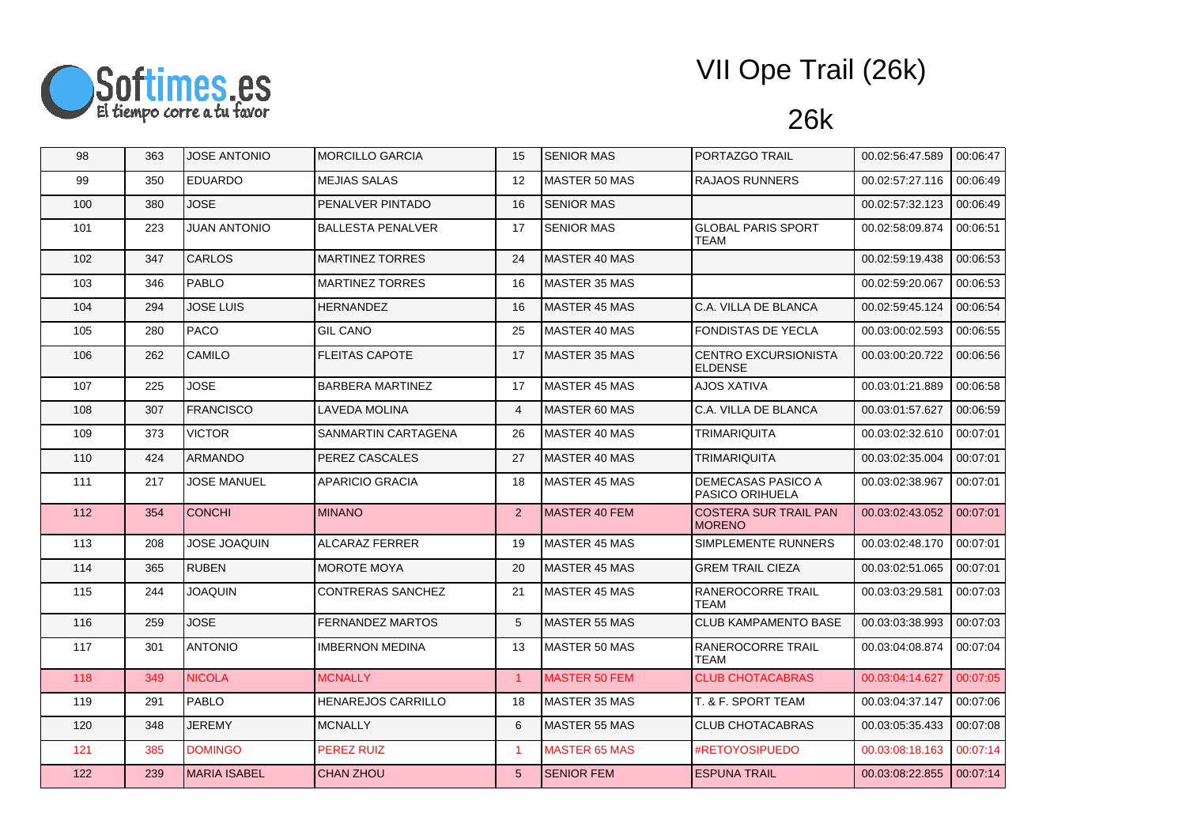

| 98  | 363 | <b>JOSE ANTONIO</b> | <b>MORCILLO GARCIA</b>   | 15                   | <b>SENIOR MAS</b>     | PORTAZGO TRAIL                                      | 00.02:56:47.589 | 00:06:47 |
|-----|-----|---------------------|--------------------------|----------------------|-----------------------|-----------------------------------------------------|-----------------|----------|
| 99  | 350 | <b>EDUARDO</b>      | <b>MEJIAS SALAS</b>      | 12                   | MASTER 50 MAS         | <b>RAJAOS RUNNERS</b>                               | 00.02:57:27.116 | 00:06:49 |
| 100 | 380 | JOSE                | PENALVER PINTADO         | 16                   | <b>SENIOR MAS</b>     |                                                     | 00.02:57:32.123 | 00:06:49 |
| 101 | 223 | <b>JUAN ANTONIO</b> | <b>BALLESTA PENALVER</b> | 17                   | <b>SENIOR MAS</b>     | <b>GLOBAL PARIS SPORT</b><br><b>TEAM</b>            | 00.02:58:09.874 | 00:06:51 |
| 102 | 347 | <b>CARLOS</b>       | <b>MARTINEZ TORRES</b>   | 24                   | MASTER 40 MAS         |                                                     | 00.02:59:19.438 | 00:06:53 |
| 103 | 346 | <b>PABLO</b>        | <b>MARTINEZ TORRES</b>   | 16                   | <b>IMASTER 35 MAS</b> |                                                     | 00.02:59:20.067 | 00:06:53 |
| 104 | 294 | <b>JOSE LUIS</b>    | <b>HERNANDEZ</b>         | 16                   | MASTER 45 MAS         | C.A. VILLA DE BLANCA                                | 00.02:59:45.124 | 00:06:54 |
| 105 | 280 | <b>PACO</b>         | <b>GIL CANO</b>          | 25                   | MASTER 40 MAS         | <b>FONDISTAS DE YECLA</b>                           | 00.03:00:02.593 | 00:06:55 |
| 106 | 262 | CAMILO              | <b>FLEITAS CAPOTE</b>    | 17                   | IMASTER 35 MAS        | CENTRO EXCURSIONISTA<br><b>ELDENSE</b>              | 00.03:00:20.722 | 00:06:56 |
| 107 | 225 | <b>JOSE</b>         | <b>BARBERA MARTINEZ</b>  | 17                   | <b>MASTER 45 MAS</b>  | <b>AJOS XATIVA</b>                                  | 00.03:01:21.889 | 00:06:58 |
| 108 | 307 | <b>FRANCISCO</b>    | LAVEDA MOLINA            | $\overline{4}$       | MASTER 60 MAS         | C.A. VILLA DE BLANCA                                | 00.03:01:57.627 | 00:06:59 |
| 109 | 373 | <b>VICTOR</b>       | SANMARTIN CARTAGENA      | 26                   | MASTER 40 MAS         | TRIMARIQUITA                                        | 00.03:02:32.610 | 00:07:01 |
| 110 | 424 | <b>ARMANDO</b>      | PEREZ CASCALES           | 27                   | MASTER 40 MAS         | <b>TRIMARIQUITA</b>                                 | 00.03:02:35.004 | 00:07:01 |
| 111 | 217 | <b>JOSE MANUEL</b>  | APARICIO GRACIA          | 18                   | MASTER 45 MAS         | <b>DEMECASAS PASICO A</b><br><b>PASICO ORIHUELA</b> | 00.03:02:38.967 | 00:07:01 |
| 112 | 354 | <b>CONCHI</b>       | <b>MINANO</b>            | 2                    | <b>MASTER 40 FEM</b>  | <b>COSTERA SUR TRAIL PAN</b><br><b>MORENO</b>       | 00.03:02:43.052 | 00:07:01 |
| 113 | 208 | <b>JOSE JOAQUIN</b> | <b>ALCARAZ FERRER</b>    | 19                   | MASTER 45 MAS         | SIMPLEMENTE RUNNERS                                 | 00.03:02:48.170 | 00:07:01 |
| 114 | 365 | <b>RUBEN</b>        | <b>MOROTE MOYA</b>       | 20                   | <b>MASTER 45 MAS</b>  | <b>GREM TRAIL CIEZA</b>                             | 00.03:02:51.065 | 00:07:01 |
| 115 | 244 | <b>JOAQUIN</b>      | CONTRERAS SANCHEZ        | 21                   | <b>MASTER 45 MAS</b>  | RANEROCORRE TRAIL<br>TEAM                           | 00.03:03:29.581 | 00:07:03 |
| 116 | 259 | <b>JOSE</b>         | <b>FERNANDEZ MARTOS</b>  | 5                    | MASTER 55 MAS         | <b>CLUB KAMPAMENTO BASE</b>                         | 00.03:03:38.993 | 00:07:03 |
| 117 | 301 | <b>ANTONIO</b>      | <b>IMBERNON MEDINA</b>   | 13                   | MASTER 50 MAS         | RANEROCORRE TRAIL<br><b>TEAM</b>                    | 00.03:04:08.874 | 00:07:04 |
| 118 | 349 | <b>NICOLA</b>       | <b>MCNALLY</b>           | $\overline{1}$       | <b>MASTER 50 FEM</b>  | <b>CLUB CHOTACABRAS</b>                             | 00.03:04:14.627 | 00:07:05 |
| 119 | 291 | PABLO               | HENAREJOS CARRILLO       | 18                   | MASTER 35 MAS         | T. & F. SPORT TEAM                                  | 00.03.04.37.147 | 00:07:06 |
| 120 | 348 | <b>JEREMY</b>       | MCNALLY                  | 6                    | MASTER 55 MAS         | <b>CLUB CHOTACABRAS</b>                             | 00.03:05:35.433 | 00:07:08 |
| 121 | 385 | <b>DOMINGO</b>      | PEREZ RUIZ               | $\blacktriangleleft$ | <b>MASTER 65 MAS</b>  | #RETOYOSIPUEDO                                      | 00.03:08:18.163 | 00:07:14 |
| 122 | 239 | <b>MARIA ISABEL</b> | <b>CHAN ZHOU</b>         | $5\overline{)}$      | <b>SENIOR FEM</b>     | <b>ESPUNA TRAIL</b>                                 | 00.03:08:22.855 | 00:07:14 |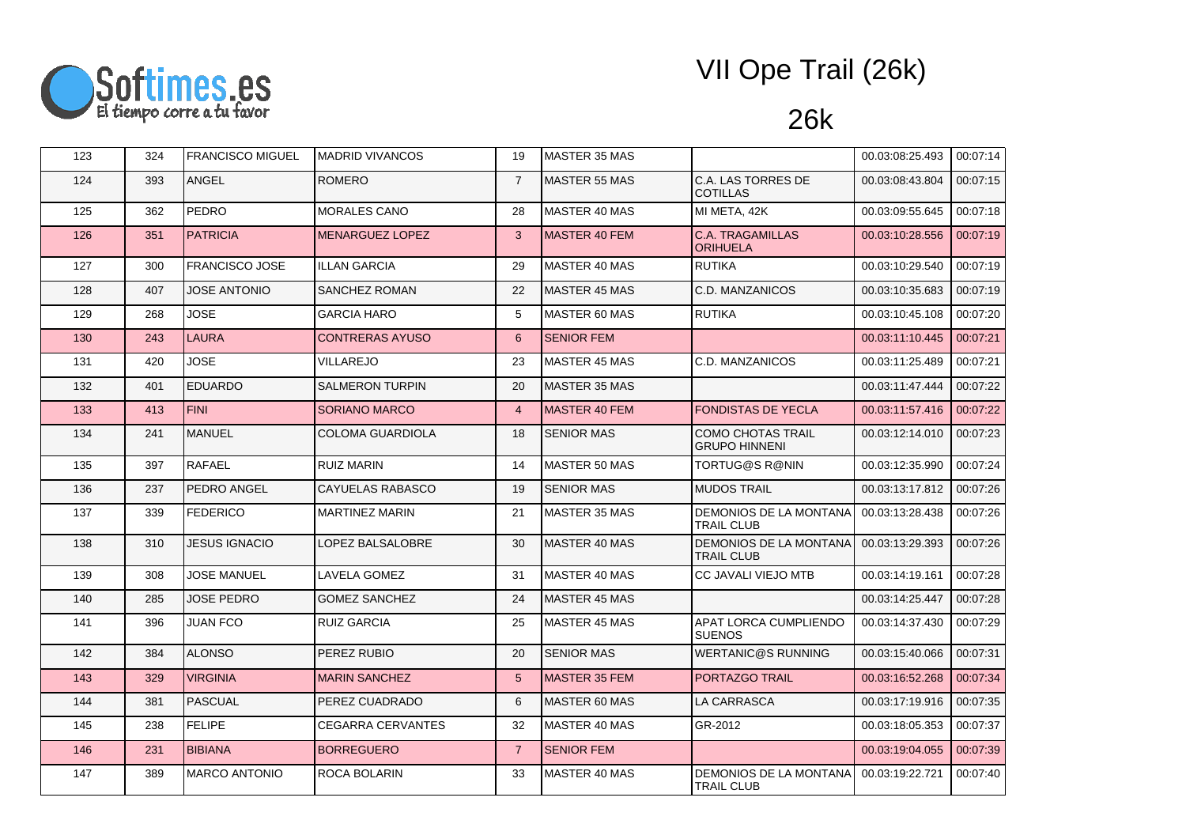

| 123 | 324 | <b>FRANCISCO MIGUEL</b> | <b>MADRID VIVANCOS</b>   | 19              | MASTER 35 MAS        |                                                    | 00.03:08:25.493 | 00:07:14 |
|-----|-----|-------------------------|--------------------------|-----------------|----------------------|----------------------------------------------------|-----------------|----------|
| 124 | 393 | <b>ANGEL</b>            | <b>ROMERO</b>            | $\overline{7}$  | <b>MASTER 55 MAS</b> | C.A. LAS TORRES DE<br><b>COTILLAS</b>              | 00.03:08:43.804 | 00:07:15 |
| 125 | 362 | <b>PEDRO</b>            | <b>MORALES CANO</b>      | 28              | MASTER 40 MAS        | MI META, 42K                                       | 00.03:09:55.645 | 00:07:18 |
| 126 | 351 | <b>PATRICIA</b>         | <b>MENARGUEZ LOPEZ</b>   | 3               | <b>MASTER 40 FEM</b> | <b>C.A. TRAGAMILLAS</b><br><b>ORIHUELA</b>         | 00.03:10:28.556 | 00:07:19 |
| 127 | 300 | <b>FRANCISCO JOSE</b>   | <b>ILLAN GARCIA</b>      | 29              | MASTER 40 MAS        | <b>RUTIKA</b>                                      | 00.03:10:29.540 | 00:07:19 |
| 128 | 407 | <b>JOSE ANTONIO</b>     | <b>SANCHEZ ROMAN</b>     | 22              | <b>MASTER 45 MAS</b> | C.D. MANZANICOS                                    | 00.03:10:35.683 | 00:07:19 |
| 129 | 268 | <b>JOSE</b>             | <b>GARCIA HARO</b>       | 5               | MASTER 60 MAS        | <b>RUTIKA</b>                                      | 00.03:10:45.108 | 00:07:20 |
| 130 | 243 | <b>LAURA</b>            | <b>CONTRERAS AYUSO</b>   | 6               | <b>SENIOR FEM</b>    |                                                    | 00.03:11:10.445 | 00:07:21 |
| 131 | 420 | JOSE                    | VILLAREJO                | 23              | MASTER 45 MAS        | C.D. MANZANICOS                                    | 00.03:11:25.489 | 00:07:21 |
| 132 | 401 | <b>EDUARDO</b>          | <b>SALMERON TURPIN</b>   | 20              | <b>MASTER 35 MAS</b> |                                                    | 00.03:11:47.444 | 00:07:22 |
| 133 | 413 | <b>FINI</b>             | <b>SORIANO MARCO</b>     | $\overline{4}$  | MASTER 40 FEM        | <b>FONDISTAS DE YECLA</b>                          | 00.03:11:57.416 | 00:07:22 |
| 134 | 241 | <b>MANUEL</b>           | <b>COLOMA GUARDIOLA</b>  | 18              | <b>SENIOR MAS</b>    | <b>COMO CHOTAS TRAIL</b><br><b>GRUPO HINNENI</b>   | 00.03:12:14.010 | 00:07:23 |
| 135 | 397 | RAFAEL                  | <b>RUIZ MARIN</b>        | 14              | MASTER 50 MAS        | TORTUG@S R@NIN                                     | 00.03:12:35.990 | 00:07:24 |
| 136 | 237 | <b>PEDRO ANGEL</b>      | CAYUELAS RABASCO         | 19              | <b>SENIOR MAS</b>    | <b>MUDOS TRAIL</b>                                 | 00.03:13:17.812 | 00:07:26 |
| 137 | 339 | <b>FEDERICO</b>         | <b>MARTINEZ MARIN</b>    | 21              | <b>MASTER 35 MAS</b> | <b>DEMONIOS DE LA MONTANA</b><br><b>TRAIL CLUB</b> | 00.03:13:28.438 | 00:07:26 |
| 138 | 310 | <b>JESUS IGNACIO</b>    | LOPEZ BALSALOBRE         | 30              | MASTER 40 MAS        | DEMONIOS DE LA MONTANA<br><b>TRAIL CLUB</b>        | 00.03:13:29.393 | 00:07:26 |
| 139 | 308 | <b>JOSE MANUEL</b>      | LAVELA GOMEZ             | 31              | MASTER 40 MAS        | <b>CC JAVALI VIEJO MTB</b>                         | 00.03:14:19.161 | 00:07:28 |
| 140 | 285 | <b>JOSE PEDRO</b>       | <b>GOMEZ SANCHEZ</b>     | 24              | MASTER 45 MAS        |                                                    | 00.03:14:25.447 | 00:07:28 |
| 141 | 396 | <b>JUAN FCO</b>         | <b>RUIZ GARCIA</b>       | 25              | <b>MASTER 45 MAS</b> | APAT LORCA CUMPLIENDO<br><b>SUENOS</b>             | 00.03:14:37.430 | 00:07:29 |
| 142 | 384 | <b>ALONSO</b>           | PEREZ RUBIO              | 20              | <b>SENIOR MAS</b>    | <b>WERTANIC@S RUNNING</b>                          | 00.03:15:40.066 | 00:07:31 |
| 143 | 329 | <b>VIRGINIA</b>         | <b>MARIN SANCHEZ</b>     | $5\overline{)}$ | <b>MASTER 35 FEM</b> | PORTAZGO TRAIL                                     | 00.03:16:52.268 | 00:07:34 |
| 144 | 381 | <b>PASCUAL</b>          | PEREZ CUADRADO           | 6               | MASTER 60 MAS        | <b>LA CARRASCA</b>                                 | 00.03:17:19.916 | 00:07:35 |
| 145 | 238 | <b>FELIPE</b>           | <b>CEGARRA CERVANTES</b> | 32              | MASTER 40 MAS        | GR-2012                                            | 00.03:18:05.353 | 00:07:37 |
| 146 | 231 | <b>BIBIANA</b>          | <b>BORREGUERO</b>        | $\overline{7}$  | <b>SENIOR FEM</b>    |                                                    | 00.03:19:04.055 | 00:07:39 |
| 147 | 389 | <b>MARCO ANTONIO</b>    | ROCA BOLARIN             | 33              | MASTER 40 MAS        | DEMONIOS DE LA MONTANA<br><b>TRAIL CLUB</b>        | 00.03:19:22.721 | 00:07:40 |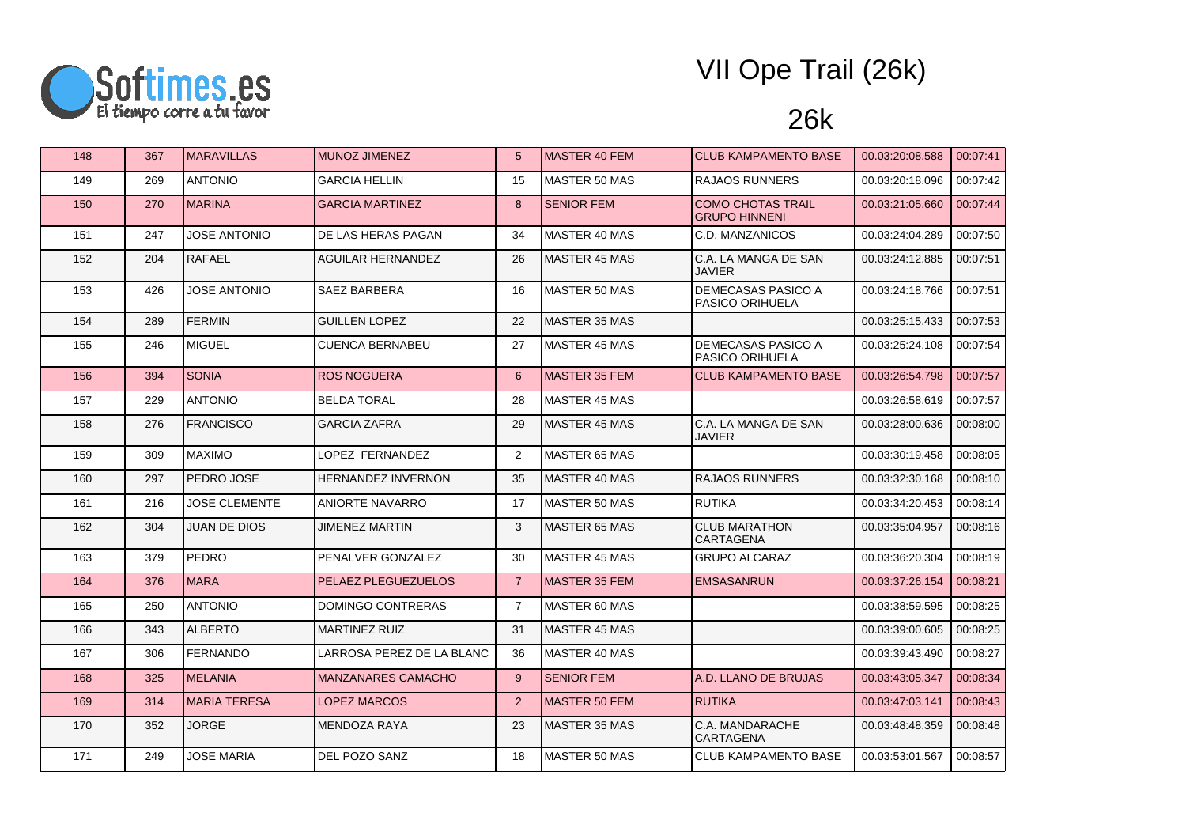

| 148 | 367 | <b>MARAVILLAS</b>    | <b>MUNOZ JIMENEZ</b>       | 5              | MASTER 40 FEM         | <b>CLUB KAMPAMENTO BASE</b>                      | 00.03:20:08.588 | 00:07:41 |
|-----|-----|----------------------|----------------------------|----------------|-----------------------|--------------------------------------------------|-----------------|----------|
| 149 | 269 | <b>ANTONIO</b>       | <b>GARCIA HELLIN</b>       | 15             | <b>MASTER 50 MAS</b>  | <b>RAJAOS RUNNERS</b>                            | 00.03:20:18.096 | 00:07:42 |
| 150 | 270 | <b>MARINA</b>        | <b>GARCIA MARTINEZ</b>     | 8              | <b>SENIOR FEM</b>     | <b>COMO CHOTAS TRAIL</b><br><b>GRUPO HINNENI</b> | 00.03:21:05.660 | 00:07:44 |
| 151 | 247 | <b>JOSE ANTONIO</b>  | DE LAS HERAS PAGAN         | 34             | MASTER 40 MAS         | C.D. MANZANICOS                                  | 00.03:24:04.289 | 00:07:50 |
| 152 | 204 | <b>RAFAEL</b>        | <b>AGUILAR HERNANDEZ</b>   | 26             | <b>MASTER 45 MAS</b>  | C.A. LA MANGA DE SAN<br><b>JAVIER</b>            | 00.03:24:12.885 | 00:07:51 |
| 153 | 426 | <b>JOSE ANTONIO</b>  | SAEZ BARBERA               | 16             | <b>MASTER 50 MAS</b>  | DEMECASAS PASICO A<br><b>PASICO ORIHUELA</b>     | 00.03:24:18.766 | 00:07:51 |
| 154 | 289 | <b>FERMIN</b>        | <b>GUILLEN LOPEZ</b>       | 22             | MASTER 35 MAS         |                                                  | 00.03:25:15.433 | 00:07:53 |
| 155 | 246 | <b>MIGUEL</b>        | CUENCA BERNABEU            | 27             | IMASTER 45 MAS        | <b>DEMECASAS PASICO A</b><br>PASICO ORIHUELA     | 00.03:25:24.108 | 00:07:54 |
| 156 | 394 | <b>SONIA</b>         | <b>ROS NOGUERA</b>         | 6              | <b>MASTER 35 FEM</b>  | <b>CLUB KAMPAMENTO BASE</b>                      | 00.03:26:54.798 | 00:07:57 |
| 157 | 229 | <b>ANTONIO</b>       | <b>BELDA TORAL</b>         | 28             | <b>MASTER 45 MAS</b>  |                                                  | 00.03:26:58.619 | 00:07:57 |
| 158 | 276 | <b>FRANCISCO</b>     | <b>GARCIA ZAFRA</b>        | 29             | <b>IMASTER 45 MAS</b> | C.A. LA MANGA DE SAN<br><b>JAVIER</b>            | 00.03:28:00.636 | 00:08:00 |
| 159 | 309 | <b>MAXIMO</b>        | LOPEZ FERNANDEZ            | 2              | MASTER 65 MAS         |                                                  | 00.03:30:19.458 | 00:08:05 |
| 160 | 297 | PEDRO JOSE           | <b>HERNANDEZ INVERNON</b>  | 35             | MASTER 40 MAS         | <b>RAJAOS RUNNERS</b>                            | 00.03:32:30.168 | 00:08:10 |
| 161 | 216 | <b>JOSE CLEMENTE</b> | <b>ANIORTE NAVARRO</b>     | 17             | MASTER 50 MAS         | <b>RUTIKA</b>                                    | 00.03:34:20.453 | 00:08:14 |
| 162 | 304 | <b>JUAN DE DIOS</b>  | <b>JIMENEZ MARTIN</b>      | 3              | <b>MASTER 65 MAS</b>  | <b>CLUB MARATHON</b><br>CARTAGENA                | 00.03:35:04.957 | 00:08:16 |
| 163 | 379 | <b>PEDRO</b>         | PENALVER GONZALEZ          | 30             | <b>MASTER 45 MAS</b>  | <b>GRUPO ALCARAZ</b>                             | 00.03:36:20.304 | 00:08:19 |
| 164 | 376 | <b>MARA</b>          | <b>PELAEZ PLEGUEZUELOS</b> | $\overline{7}$ | MASTER 35 FEM         | <b>EMSASANRUN</b>                                | 00.03:37:26.154 | 00:08:21 |
| 165 | 250 | <b>ANTONIO</b>       | DOMINGO CONTRERAS          | $\overline{7}$ | MASTER 60 MAS         |                                                  | 00.03:38:59.595 | 00:08:25 |
| 166 | 343 | <b>ALBERTO</b>       | <b>MARTINEZ RUIZ</b>       | 31             | MASTER 45 MAS         |                                                  | 00.03:39:00.605 | 00:08:25 |
| 167 | 306 | <b>FERNANDO</b>      | LARROSA PEREZ DE LA BLANC  | 36             | <b>IMASTER 40 MAS</b> |                                                  | 00.03:39:43.490 | 00:08:27 |
| 168 | 325 | <b>MELANIA</b>       | <b>MANZANARES CAMACHO</b>  | 9              | <b>SENIOR FEM</b>     | A.D. LLANO DE BRUJAS                             | 00.03:43:05.347 | 00:08:34 |
| 169 | 314 | <b>MARIA TERESA</b>  | <b>LOPEZ MARCOS</b>        | 2              | <b>MASTER 50 FEM</b>  | <b>RUTIKA</b>                                    | 00.03:47:03.141 | 00:08:43 |
| 170 | 352 | <b>JORGE</b>         | <b>MENDOZA RAYA</b>        | 23             | MASTER 35 MAS         | C.A. MANDARACHE<br><b>CARTAGENA</b>              | 00.03:48:48.359 | 00:08:48 |
| 171 | 249 | <b>JOSE MARIA</b>    | DEL POZO SANZ              | 18             | <b>MASTER 50 MAS</b>  | <b>CLUB KAMPAMENTO BASE</b>                      | 00.03:53:01.567 | 00:08:57 |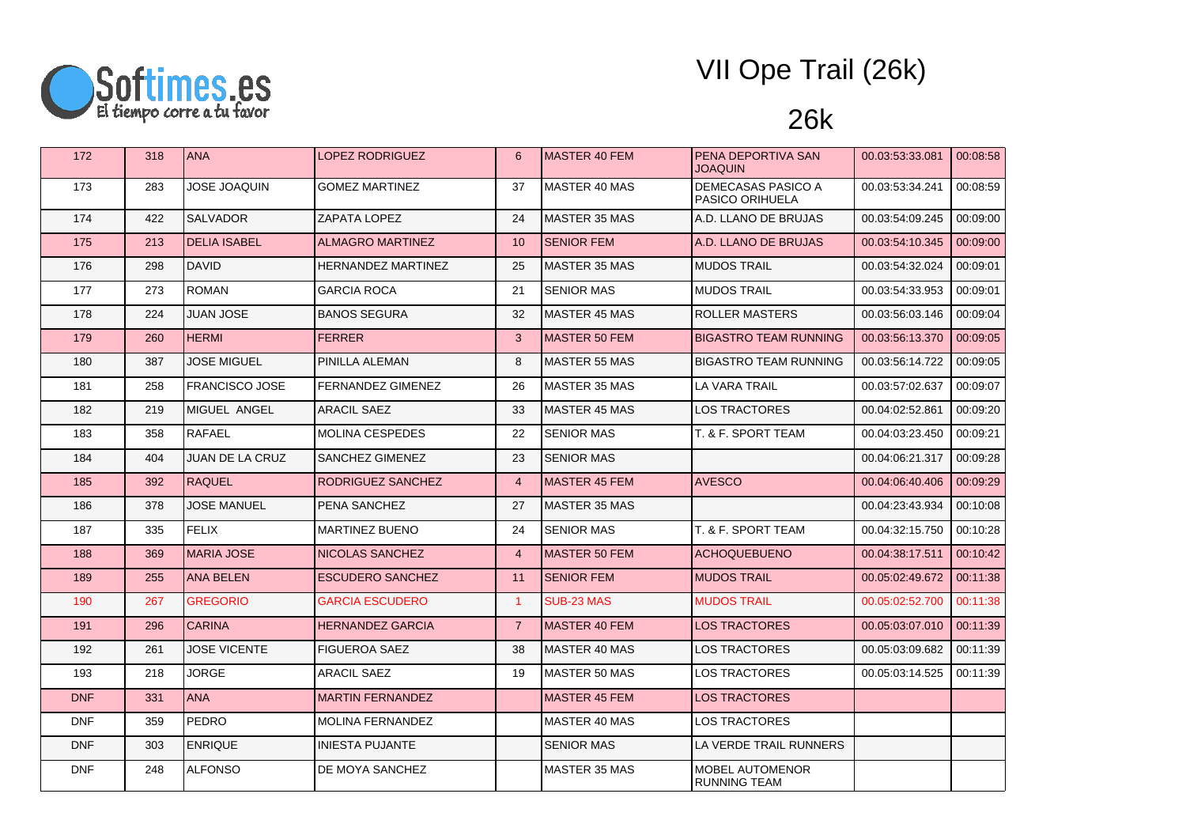

| 172        | 318 | <b>ANA</b>             | LOPEZ RODRIGUEZ         | 6              | <b>MASTER 40 FEM</b> | PENA DEPORTIVA SAN<br><b>NIUDAOL</b>   | 00.03.53.33.081 | 00:08:58 |
|------------|-----|------------------------|-------------------------|----------------|----------------------|----------------------------------------|-----------------|----------|
| 173        | 283 | JOSE JOAQUIN           | GOMEZ MARTINEZ          | 37             | MASTER 40 MAS        | DEMECASAS PASICO A<br>PASICO ORIHUELA  | 00.03:53:34.241 | 00:08:59 |
| 174        | 422 | SALVADOR               | ZAPATA LOPEZ            | 24             | MASTER 35 MAS        | A.D. LLANO DE BRUJAS                   | 00.03:54:09.245 | 00:09:00 |
| 175        | 213 | <b>DELIA ISABEL</b>    | <b>ALMAGRO MARTINEZ</b> | 10             | <b>SENIOR FEM</b>    | A.D. LLANO DE BRUJAS                   | 00.03.54.10.345 | 00:09:00 |
| 176        | 298 | <b>DAVID</b>           | HERNANDEZ MARTINEZ      | 25             | <b>MASTER 35 MAS</b> | <b>MUDOS TRAIL</b>                     | 00.03:54:32.024 | 00:09:01 |
| 177        | 273 | <b>ROMAN</b>           | GARCIA ROCA             | 21             | <b>SENIOR MAS</b>    | <b>MUDOS TRAIL</b>                     | 00.03:54:33.953 | 00:09:01 |
| 178        | 224 | <b>JUAN JOSE</b>       | <b>BANOS SEGURA</b>     | 32             | <b>MASTER 45 MAS</b> | <b>ROLLER MASTERS</b>                  | 00.03.56.03.146 | 00:09:04 |
| 179        | 260 | <b>HERMI</b>           | <b>FERRER</b>           | 3              | <b>MASTER 50 FEM</b> | <b>BIGASTRO TEAM RUNNING</b>           | 00.03.56.13.370 | 00:09:05 |
| 180        | 387 | <b>JOSE MIGUEL</b>     | PINILLA ALEMAN          | 8              | <b>MASTER 55 MAS</b> | <b>BIGASTRO TEAM RUNNING</b>           | 00.03:56:14.722 | 00:09:05 |
| 181        | 258 | <b>FRANCISCO JOSE</b>  | FERNANDEZ GIMENEZ       | 26             | MASTER 35 MAS        | LA VARA TRAIL                          | 00.03:57:02.637 | 00:09:07 |
| 182        | 219 | MIGUEL ANGEL           | <b>ARACIL SAEZ</b>      | 33             | MASTER 45 MAS        | <b>LOS TRACTORES</b>                   | 00.04:02:52.861 | 00:09:20 |
| 183        | 358 | RAFAEL                 | <b>MOLINA CESPEDES</b>  | 22             | <b>SENIOR MAS</b>    | T. & F. SPORT TEAM                     | 00.04:03:23.450 | 00:09:21 |
| 184        | 404 | <b>JUAN DE LA CRUZ</b> | SANCHEZ GIMENEZ         | 23             | <b>SENIOR MAS</b>    |                                        | 00.04:06:21.317 | 00:09:28 |
| 185        | 392 | <b>RAQUEL</b>          | RODRIGUEZ SANCHEZ       | $\overline{4}$ | <b>MASTER 45 FEM</b> | <b>AVESCO</b>                          | 00.04.06.40.406 | 00:09:29 |
| 186        | 378 | <b>JOSE MANUEL</b>     | PENA SANCHEZ            | 27             | MASTER 35 MAS        |                                        | 00.04:23:43.934 | 00:10:08 |
| 187        | 335 | <b>FELIX</b>           | <b>MARTINEZ BUENO</b>   | 24             | <b>SENIOR MAS</b>    | T. & F. SPORT TEAM                     | 00.04:32:15.750 | 00:10:28 |
| 188        | 369 | <b>MARIA JOSE</b>      | NICOLAS SANCHEZ         | $\overline{4}$ | MASTER 50 FEM        | <b>ACHOQUEBUENO</b>                    | 00.04.38:17.511 | 00:10:42 |
| 189        | 255 | <b>ANA BELEN</b>       | <b>ESCUDERO SANCHEZ</b> | 11             | <b>SENIOR FEM</b>    | <b>MUDOS TRAIL</b>                     | 00.05:02:49.672 | 00:11:38 |
| 190        | 267 | <b>GREGORIO</b>        | <b>GARCIA ESCUDERO</b>  | $\overline{1}$ | SUB-23 MAS           | <b>MUDOS TRAIL</b>                     | 00.05:02:52.700 | 00:11:38 |
| 191        | 296 | <b>CARINA</b>          | <b>HERNANDEZ GARCIA</b> | $\overline{7}$ | <b>MASTER 40 FEM</b> | <b>LOS TRACTORES</b>                   | 00.05:03:07.010 | 00:11:39 |
| 192        | 261 | <b>JOSE VICENTE</b>    | FIGUEROA SAEZ           | 38             | <b>MASTER 40 MAS</b> | <b>LOS TRACTORES</b>                   | 00.05:03:09.682 | 00:11:39 |
| 193        | 218 | <b>JORGE</b>           | ARACIL SAEZ             | 19             | MASTER 50 MAS        | LOS TRACTORES                          | 00.05:03:14.525 | 00:11:39 |
| <b>DNF</b> | 331 | <b>ANA</b>             | <b>MARTIN FERNANDEZ</b> |                | MASTER 45 FEM        | <b>LOS TRACTORES</b>                   |                 |          |
| <b>DNF</b> | 359 | <b>PEDRO</b>           | <b>MOLINA FERNANDEZ</b> |                | <b>MASTER 40 MAS</b> | <b>LOS TRACTORES</b>                   |                 |          |
| <b>DNF</b> | 303 | <b>ENRIQUE</b>         | <b>INIESTA PUJANTE</b>  |                | <b>SENIOR MAS</b>    | LA VERDE TRAIL RUNNERS                 |                 |          |
| <b>DNF</b> | 248 | <b>ALFONSO</b>         | DE MOYA SANCHEZ         |                | MASTER 35 MAS        | <b>MOBEL AUTOMENOR</b><br>RUNNING TEAM |                 |          |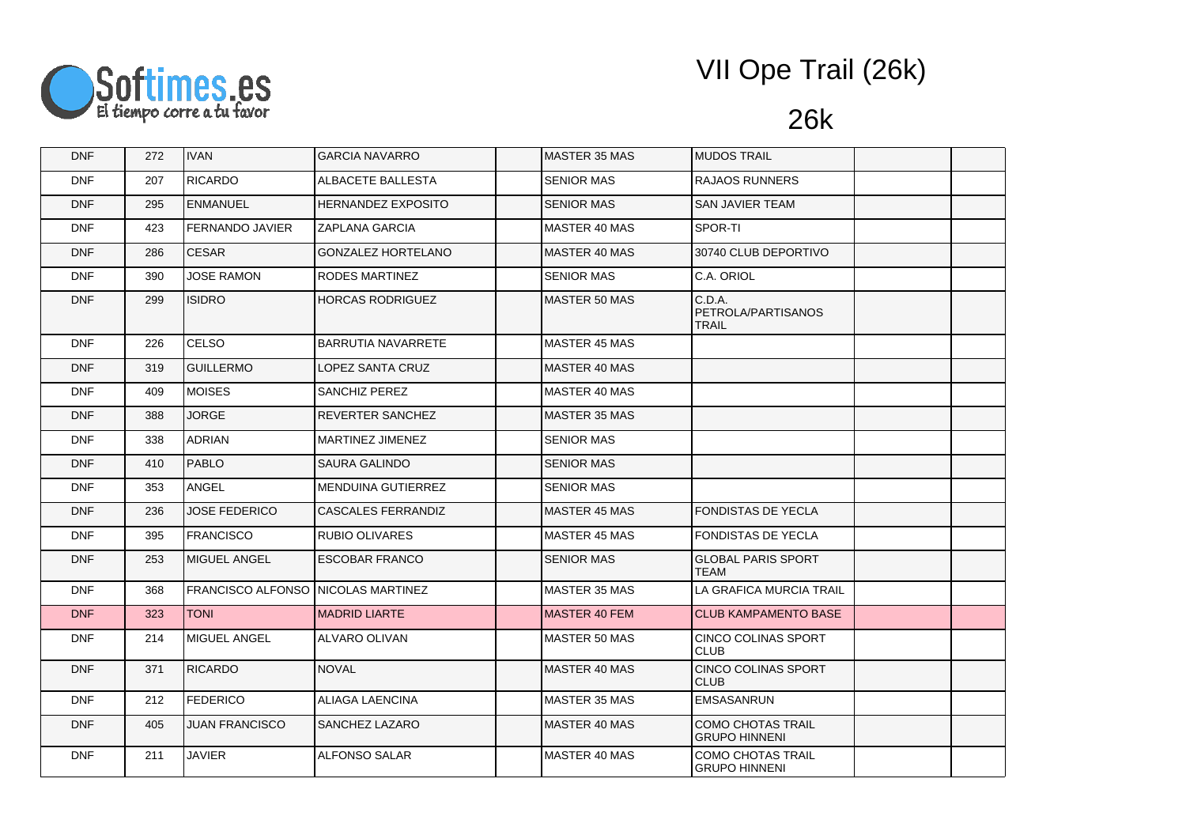

| <b>DNF</b> | 272 | <b>IVAN</b>                        | <b>GARCIA NAVARRO</b>     | MASTER 35 MAS        | <b>MUDOS TRAIL</b>                               |  |
|------------|-----|------------------------------------|---------------------------|----------------------|--------------------------------------------------|--|
| <b>DNF</b> | 207 | <b>RICARDO</b>                     | ALBACETE BALLESTA         | <b>SENIOR MAS</b>    | <b>RAJAOS RUNNERS</b>                            |  |
| <b>DNF</b> | 295 | <b>ENMANUEL</b>                    | <b>HERNANDEZ EXPOSITO</b> | <b>SENIOR MAS</b>    | SAN JAVIER TEAM                                  |  |
| <b>DNF</b> | 423 | <b>FERNANDO JAVIER</b>             | <b>ZAPLANA GARCIA</b>     | MASTER 40 MAS        | SPOR-TI                                          |  |
| <b>DNF</b> | 286 | CESAR                              | <b>GONZALEZ HORTELANO</b> | MASTER 40 MAS        | 30740 CLUB DEPORTIVO                             |  |
| <b>DNF</b> | 390 | <b>JOSE RAMON</b>                  | <b>RODES MARTINEZ</b>     | <b>SENIOR MAS</b>    | C.A. ORIOL                                       |  |
| <b>DNF</b> | 299 | <b>ISIDRO</b>                      | HORCAS RODRIGUEZ          | MASTER 50 MAS        | C.D.A.<br>PETROLA/PARTISANOS<br><b>TRAIL</b>     |  |
| <b>DNF</b> | 226 | <b>CELSO</b>                       | BARRUTIA NAVARRETE        | <b>MASTER 45 MAS</b> |                                                  |  |
| <b>DNF</b> | 319 | <b>GUILLERMO</b>                   | LOPEZ SANTA CRUZ          | MASTER 40 MAS        |                                                  |  |
| <b>DNF</b> | 409 | <b>MOISES</b>                      | SANCHIZ PEREZ             | <b>MASTER 40 MAS</b> |                                                  |  |
| <b>DNF</b> | 388 | <b>JORGE</b>                       | REVERTER SANCHEZ          | <b>MASTER 35 MAS</b> |                                                  |  |
| <b>DNF</b> | 338 | <b>ADRIAN</b>                      | MARTINEZ JIMENEZ          | <b>SENIOR MAS</b>    |                                                  |  |
| <b>DNF</b> | 410 | <b>PABLO</b>                       | SAURA GALINDO             | <b>SENIOR MAS</b>    |                                                  |  |
| <b>DNF</b> | 353 | <b>ANGEL</b>                       | <b>MENDUINA GUTIERREZ</b> | <b>SENIOR MAS</b>    |                                                  |  |
| <b>DNF</b> | 236 | <b>JOSE FEDERICO</b>               | <b>CASCALES FERRANDIZ</b> | <b>MASTER 45 MAS</b> | <b>FONDISTAS DE YECLA</b>                        |  |
| <b>DNF</b> | 395 | <b>FRANCISCO</b>                   | <b>RUBIO OLIVARES</b>     | MASTER 45 MAS        | <b>FONDISTAS DE YECLA</b>                        |  |
| <b>DNF</b> | 253 | MIGUEL ANGEL                       | <b>ESCOBAR FRANCO</b>     | <b>SENIOR MAS</b>    | <b>GLOBAL PARIS SPORT</b><br><b>TEAM</b>         |  |
| <b>DNF</b> | 368 | FRANCISCO ALFONSO NICOLAS MARTINEZ |                           | <b>MASTER 35 MAS</b> | LA GRAFICA MURCIA TRAIL                          |  |
| DNF        | 323 | <b>TONI</b>                        | <b>MADRID LIARTE</b>      | <b>MASTER 40 FEM</b> | <b>CLUB KAMPAMENTO BASE</b>                      |  |
| <b>DNF</b> | 214 | MIGUEL ANGEL                       | <b>ALVARO OLIVAN</b>      | <b>MASTER 50 MAS</b> | <b>CINCO COLINAS SPORT</b><br><b>CLUB</b>        |  |
| <b>DNF</b> | 371 | <b>RICARDO</b>                     | <b>NOVAL</b>              | MASTER 40 MAS        | CINCO COLINAS SPORT<br><b>CLUB</b>               |  |
| <b>DNF</b> | 212 | <b>FEDERICO</b>                    | <b>ALIAGA LAENCINA</b>    | <b>MASTER 35 MAS</b> | <b>EMSASANRUN</b>                                |  |
| <b>DNF</b> | 405 | <b>JUAN FRANCISCO</b>              | <b>SANCHEZ LAZARO</b>     | <b>MASTER 40 MAS</b> | <b>COMO CHOTAS TRAIL</b><br><b>GRUPO HINNENI</b> |  |
| <b>DNF</b> | 211 | <b>JAVIER</b>                      | <b>ALFONSO SALAR</b>      | <b>MASTER 40 MAS</b> | COMO CHOTAS TRAIL<br><b>GRUPO HINNENI</b>        |  |